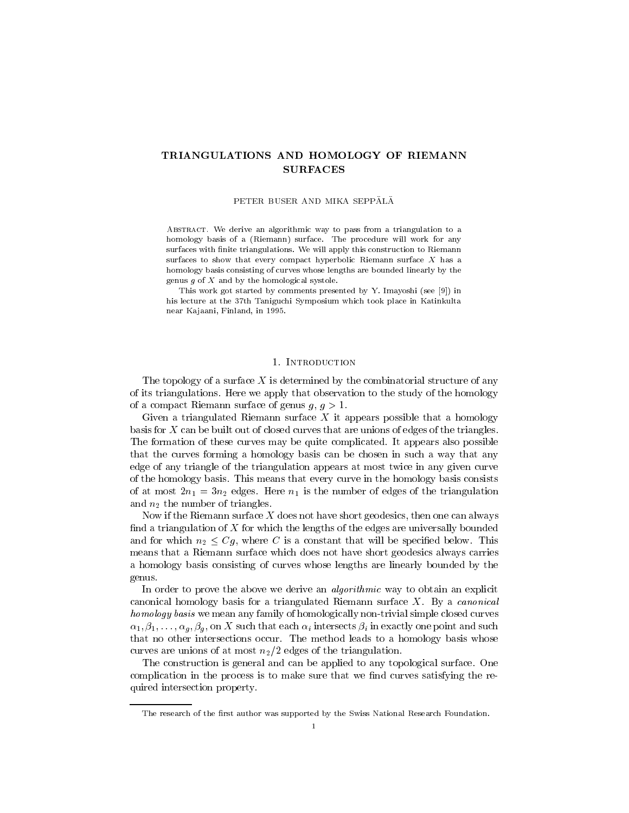# TRIANGULATIONS AND HOMOLOGY OF RIEMANN SURFACES

PETER BUSER AND MIKA SEPPÄLÄ

ABSTRACT. We derive an algorithmic way to pass from a triangulation to a homology basis of a (Riemann) surface. The procedure will work for any surfaces with finite triangulations. We will apply this construction to Riemann surfaces to show that every compact hyperbolic Riemann surface  $X$  has a homology basis consisting of curves whose lengths are bounded linearly by the genus  $g$  of  $X$  and by the homological systole.

This work got started by comments presented by Y. Imayoshi (see [9]) in his lecture at the 37th Taniguchi Symposium which took place in Katinkulta near Kajaani, Finland, in 1995.

### 1. INTRODUCTION

The topology of a surface  $X$  is determined by the combinatorial structure of any of its triangulations. Here we apply that observation to the study of the homology of a compact Riemann surface of genus  $g, g > 1$ .

Given a triangulated Riemann surface  $X$  it appears possible that a homology basis for X can be built out of closed curves that are unions of edges of the triangles. The formation of these curves may be quite complicated. It appears also possible that the curves forming a homology basis can be chosen in such a way that any edge of any triangle of the triangulation appears at most twice in any given curve of the homology basis. This means that every curve in the homology basis consists of at most  $2n_1 = 3n_2$  edges. Here  $n_1$  is the number of edges of the triangulation and  $n_2$  the number of triangles.

Now if the Riemann surface  $X$  does not have short geodesics, then one can always find a triangulation of X for which the lengths of the edges are universally bounded and for which  $n_2 \leq Cg$ , where C is a constant that will be specified below. This means that a Riemann surface which does not have short geodesics always carries a homology basis consisting of curves whose lengths are linearly bounded by the genus.

In order to prove the above we derive an *algorithmic* way to obtain an explicit canonical homology basis for a triangulated Riemann surface  $X$ . By a *canonical* homology basis we mean any family of homologically non-trivial simple closed curves  $\alpha_1, \beta_1, \ldots, \alpha_g, \beta_g$ , on X such that each  $\alpha_i$  intersects  $\beta_i$  in exactly one point and such that no other intersections occur. The method leads to a homology basis whose curves are unions of at most  $n_2/2$  edges of the triangulation.

The construction is general and can be applied to any topological surface. One complication in the process is to make sure that we find curves satisfying the required intersection property.

The research of the first author was supported by the Swiss National Research Foundation.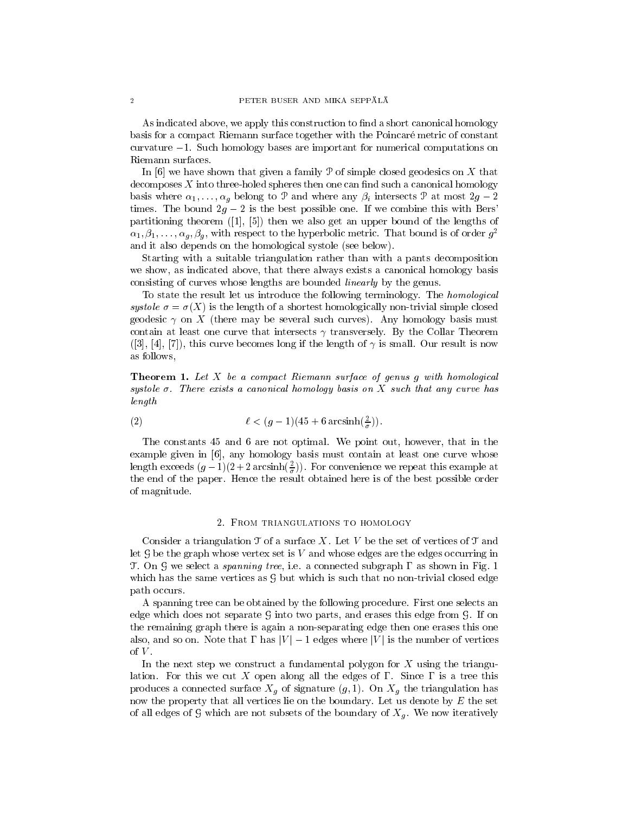As indicated above, we apply this construction to find a short canonical homology basis for a compact Riemann surface together with the Poincare metric of constant curvature  $-1$ . Such homology bases are important for numerical computations on

In  $[6]$  we have shown that given a family P of simple closed geodesics on X that  $decomposes X$  into three-holed spheres then one can find such a canonical homology basis where  $\alpha_1, \ldots, \alpha_g$  belong to P and where any  $\beta_i$  intersects P at most  $2g - 2$ times. The bound  $2g - 2$  is the best possible one. If we combine this with Bers' partitioning theorem ([1], [5]) then we also get an upper bound of the lengths of  $\alpha_1, \beta_1, \ldots, \alpha_g, \beta_g$ , with respect to the hyperbolic metric. That bound is of order  $g^2$ and it also depends on the homological systole (see below).

Starting with a suitable triangulation rather than with a pants decomposition we show, as indicated above, that there always exists a canonical homology basis consisting of curves whose lengths are bounded linearly by the genus.

To state the result let us introduce the following terminology. The homological systole  $\sigma = \sigma(X)$  is the length of a shortest homologically non-trivial simple closed geodesic  $\gamma$  on X (there may be several such curves). Any homology basis must contain at least one curve that intersects  $\gamma$  transversely. By the Collar Theorem  $([3], [4], [7])$ , this curve becomes long if the length of  $\gamma$  is small. Our result is now as follows,

**Theorem 1.** Let  $X$  be a compact Riemann surface of genus g with homological systole  $\sigma$ . There exists a canonical homology basis on X such that any curve has length

(2) 
$$
\ell < (g-1)(45 + 6\arcsin(\frac{2}{\sigma})).
$$

The constants 45 and 6 are not optimal. We point out, however, that in the example given in [6], any homology basis must contain at least one curve whose length exceeds  $(g - 1)(2 + 2 \arcsin(\frac{\pi}{\sigma}))$ . For convenience we repeat this example at the end of the paper. Hence the result obtained here is of the best possible order of magnitude.

### 2. From triangulations to homology

Consider a triangulation  $\mathfrak T$  of a surface X. Let V be the set of vertices of  $\mathfrak T$  and let  $G$  be the graph whose vertex set is  $V$  and whose edges are the edges occurring in T. On G we select a *spanning tree*, i.e. a connected subgraph  $\Gamma$  as shown in Fig. 1 which has the same vertices as  $G$  but which is such that no non-trivial closed edge path occurs.

A spanning tree can be obtained by the following procedure. First one selects an edge which does not separate  $G$  into two parts, and erases this edge from  $G$ . If on the remaining graph there is again a non-separating edge then one erases this one also, and so on. Note that  $\Gamma$  has  $|V| - 1$  edges where  $|V|$  is the number of vertices of  $V$ .

In the next step we construct a fundamental polygon for  $X$  using the triangulation. For this we cut X open along all the edges of  $\Gamma$ . Since  $\Gamma$  is a tree this produces a connected surface  $\mathbf{u}$ . On Xg the triangulation has the triangulation has the triangulation has the triangulation has the triangulation has the triangulation has the triangulation has the triangulation has now the property that all vertices lie on the boundary. Let us denote by  $E$  the set of all edges of G which are not subsets of the boundary of  $\mathcal{U}$  . We now it results of  $\mathcal{U}$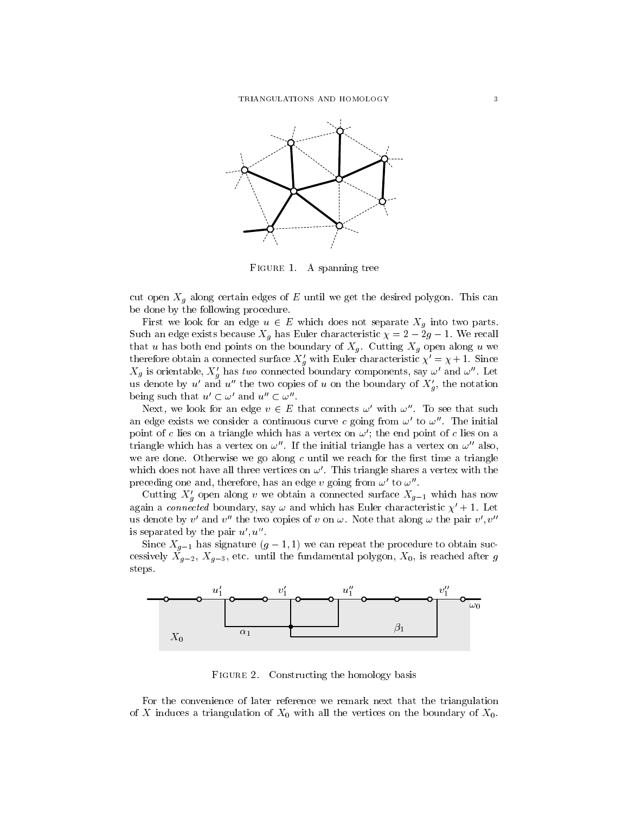

Figure 1. A spanning tree

cut open Xg along certain edges of <sup>E</sup> until we get the desired polygon. This can be done by the following procedure.

First we look for an edge u 2 <sup>E</sup> which does not separate Xg into two parts. Such an edge exists because Xg has Euler characteristic = 2 2g 1. We recall that use that the both points on the both end we had a set  $\alpha$  . Cutting  $\alpha$  is a set of  $\alpha$  we have used used therefore obtain a connected surface  $X_q$  with Euler characteristic  $\chi \, = \chi + 1$ . Since  $\Lambda_g$  is orientable,  $\Lambda_g$  has two connected boundary components, say  $\omega$  and  $\omega$ . Let us denote by u and u the two copies of u on the boundary of  $X_{\theta}$ , the notation being such that  $u' \subset \omega'$  and  $u'' \subset \omega''$ .

Next, we look for an edge  $v \in E$  that connects  $\omega$  with  $\omega$  . To see that such an edge exists we consider a continuous curve c going from  $\omega'$  to  $\omega''$ . The initial point of c lies on a triangle which has a vertex on  $\omega'$ ; the end point of c lies on a triangle which has a vertex on  $\omega''$ . If the initial triangle has a vertex on  $\omega''$  also, we are done. Otherwise we go along  $c$  until we reach for the first time a triangle which does not have all three vertices on  $\omega'$ . This triangle shares a vertex with the preceding one and, therefore, has an edge v going from  $\omega'$  to  $\omega''$ .

Cutting  $\Lambda_g$  open along v we obtain a connected surface  $\Lambda_{g-1}$  which has now again a connected boundary, say  $\omega$  and which has Euler characteristic  $\chi' + 1$ . Let us denote by v' and v'' the two copies of v on  $\omega$ . Note that along  $\omega$  the pair v', v'' is separated by the pair  $u', u''$ .

Since  $X_{g-1}$  has signature  $(g - 1, 1)$  we can repeat the procedure to obtain successively  $X_{g-2}$ ,  $X_{g-3}$ , etc. until the fundamental polygon,  $X_0$ , is reached after g steps.



Figure 2.Constructing the homology basis

For the convenience of later reference we remark next that the triangulation of X induces a triangulation of  $X_0$  with all the vertices on the boundary of  $X_0$ .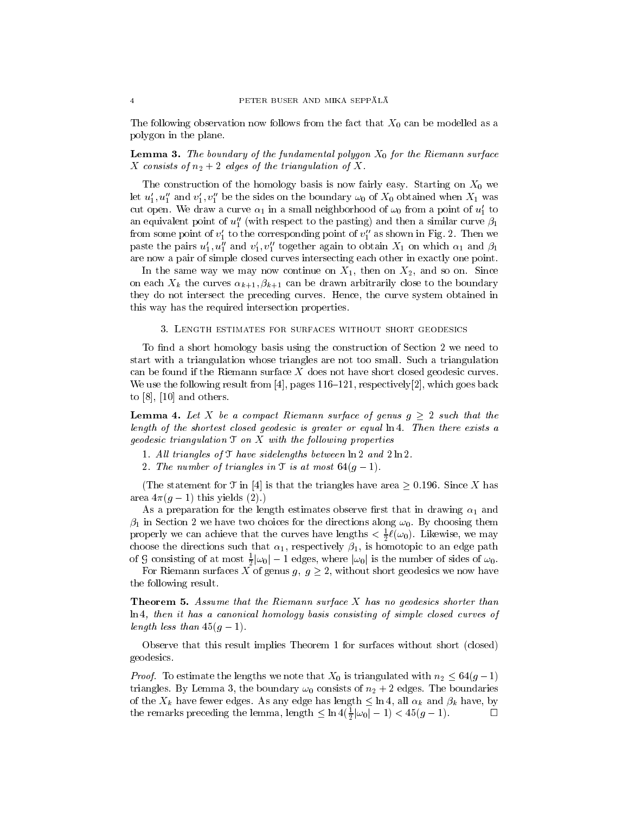The following observation now follows from the fact that  $X_0$  can be modelled as a polygon in the plane.

# **Lemma 3.** The boundary of the fundamental polygon  $X_0$  for the Riemann surface X consists of  $n_2 + 2$  edges of the triangulation of X.

The construction of the homology basis is now fairly easy. Starting on  $X_0$  we let  $u'_1, u''_1$  and  $v'_1, v''_1$  be the sides on the boundary  $\omega_0$  of  $X_0$  obtained when  $X_1$  was cut open. We draw a curve  $\alpha_1$  in a small neighborhood of  $\omega_0$  from a point of  $u'_1$  to an equivalent point of  $u''_1$  (with respect to the pasting) and then a similar curve  $\beta_1$ from some point of  $v_1'$  to the corresponding point of  $v_1''$  as shown in Fig. 2. Then we paste the pairs  $u_1, u_1$  and  $v_1, v_1$  together again to obtain  $x_1$  on which  $\alpha_1$  and  $\rho_1$ are now a pair of simple closed curves intersecting each other in exactly one point.

In the same way we may now continue on  $X_1$ , then on  $X_2$ , and so on. Since on each the curves the curves  $\{k+1,k,k+1\}$  can be drawn are drawn are drawn as the contract to the boundary they do not intersect the preceding curves. Hence, the curve system obtained in this way has the required intersection properties.

### 3. Length estimates for surfaces without short geodesics

To find a short homology basis using the construction of Section 2 we need to start with a triangulation whose triangles are not too small. Such a triangulation can be found if the Riemann surface X does not have short closed geodesic curves. We use the following result from  $[4]$ , pages 116–121, respectively $[2]$ , which goes back to  $[8]$ ,  $[10]$  and others.

**Lemma 4.** Let X be a compact Riemann surface of genus  $g \geq 2$  such that the length of the shortest closed geodesic is greater or equal ln 4. Then there exists a geodesic triangulation  $\mathfrak T$  on  $X$  with the following properties

- 1. All triangles of  $\mathcal T$  have sidelengths between  $\ln 2$  and  $2 \ln 2$ .
- 2. The number of triangles in  $\mathfrak T$  is at most  $64(g-1)$ .

(The statement for  $\mathfrak T$  in [4] is that the triangles have area  $\geq 0.196$ . Since X has area  $4\pi(q - 1)$  this yields (2).)

As a preparation for the length estimates observe first that in drawing  $\alpha_1$  and  $\beta_1$  in Section 2 we have two choices for the directions along  $\omega_0$ . By choosing them properly we can achieve that the curves have lengths  $\langle \frac{1}{2} \ell(\omega_0) \rangle$ . Likewise, we may choose the directions such that  $\alpha_1$ , respectively  $\beta_1$ , is homotopic to an edge path of 9 consisting of at most  $\frac{1}{2}|\omega_0| - 1$  edges, where  $|\omega_0|$  is the number of sides of  $\omega_0$ .

For Riemann surfaces <sup>X</sup> of genus g; <sup>g</sup> 2, without short geodesics we now have the following result.

Theorem 5. Assume that the Riemann surface X has no geodesics shorter than ln 4, then it has a canonical homology basis consisting of simple closed curves of length less than  $45(g - 1)$ .

Observe that this result implies Theorem 1 for surfaces without short (closed) geodesics.

*Proof.* To estimate the lengths we note that  $X_0$  is triangulated with  $n_2 \leq 64(g-1)$ triangles. By Lemma 3, the boundary  $\omega_0$  consists of  $n_2 + 2$  edges. The boundaries of the Xk have fewer edges. As any edge has length ln 4, all k and k have, by the remarks preceding the lemma, length  $\leq$  in  $4(\frac{1}{2}|\omega_0| - 1) < 45(g - 1)$ .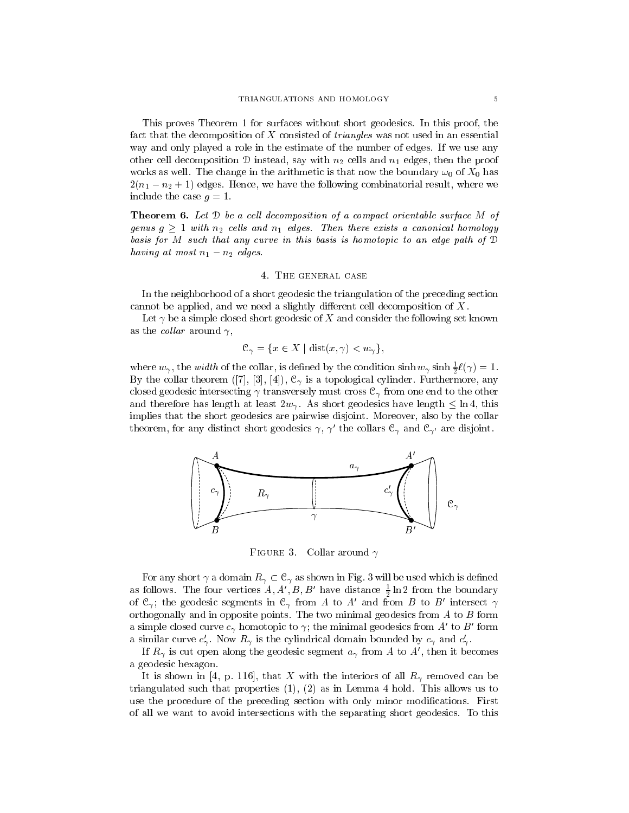This proves Theorem 1 for surfaces without short geodesics. In this proof, the fact that the decomposition of  $X$  consisted of *triangles* was not used in an essential way and only played a role in the estimate of the number of edges. If we use any other cell decomposition D instead, say with  $n_2$  cells and  $n_1$  edges, then the proof works as well. The change in the arithmetic is that now the boundary  $\omega_0$  of  $X_0$  has  $2(n_1 - n_2 + 1)$  edges. Hence, we have the following combinatorial result, where we include the case  $g = 1$ .

**Theorem 6.** Let  $D$  be a cell decomposition of a compact orientable surface  $M$  of genus g <sup>1</sup> with n2 cel ls and n1 edges. Then there exists <sup>a</sup> canonical homology basis for M such that any curve in this basis is homotopic to an edge path of <sup>D</sup> having at most  $n_1 - n_2$  edges.

### 4. The general case

In the neighborhood of a short geodesic the triangulation of the preceding section cannot be applied, and we need a slightly different cell decomposition of  $X$ .

Let  $\gamma$  be a simple closed short geodesic of X and consider the following set known as the *collar* around  $\gamma$ ,

$$
\mathcal{C}_{\gamma} = \{ x \in X \mid \text{dist}(x, \gamma) < w_{\gamma} \},
$$

where  $w_\gamma$ , the *width* of the collar, is defined by the condition sinh  $w_\gamma$  sinh  $\frac{1}{2} \ell(\gamma) = 1$ . By the collar theorem ([7], [3], [4]), C is a topological cylinder. Furthermore, any closed geodesic intersecting ( transversely must cross c) means can the other to the other c and therefore has length at least 2 with an and 2 with a large length and it is a short geodesic. implies that the short geodesics are pairwise disjoint. Moreover, also by the collar theorem, for any distinct short geodesics  $\gamma, \, \gamma$  the collars  ${\mathsf C}_\gamma$  and  ${\mathsf C}_{\gamma'}$  are disjoint.



Figure 3.Collar around  $\gamma$ 

 $\mathcal{L}$  as a dominant  $\mathcal{L}$  ,  $\mathcal{L}$  , we use the use  $\mathcal{L}$  . The used which is defined which is defined when as follows. The four vertices  $A, A, D, D$  have distance  $\frac{1}{2}$  in 2 from the boundary of  $C_{\gamma}$ ; the geodesic segments in  $C_{\gamma}$  from A to A and from B to B intersect  $\gamma$ orthogonally and in opposite points. The two minimal geodesics from  $A$  to  $B$  form a simple closed curve  $c_{\gamma}$  nomotopic to  $\gamma$ ; the minimal geodesics from  $A$  to  $B$  form a similar curve  $c_{\gamma}$ . Now  $R_{\gamma}$  is the cylindrical domain bounded by  $c_{\gamma}$  and  $c_{\gamma}$ .

If  $R_{\gamma}$  is cut open along the geodesic segment  $a_{\gamma}$  from A to A , then it becomes a geodesic hexagon.

is shown in the [4, p. 116], then it with the interiors of all RV, there is a with the interior triangulated such that properties (1), (2) as in Lemma 4 hold. This allows us to use the procedure of the preceding section with only minor modifications. First of all we want to avoid intersections with the separating short geodesics. To this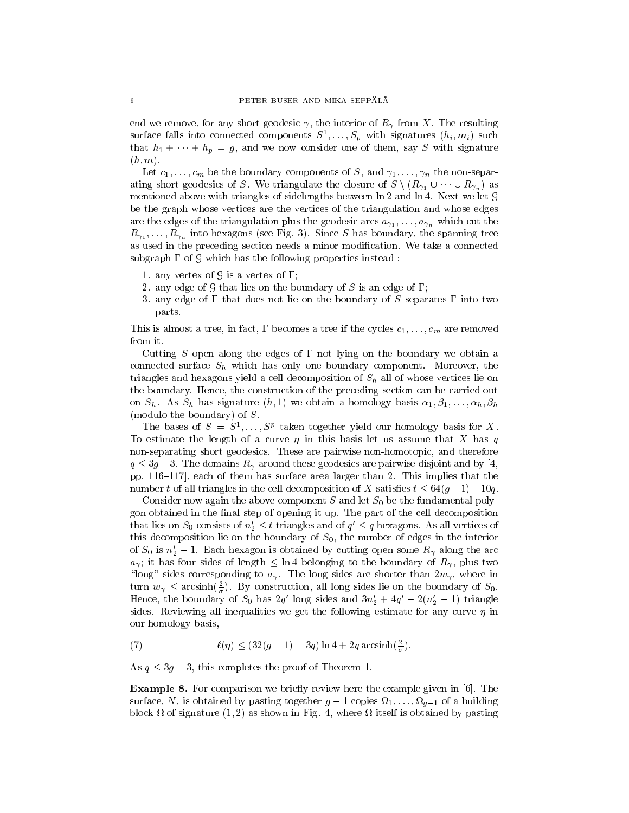, the interior geodesic short geodesic geodesic  $\mathbf{r}$ surface rails into connected components  $S^1, \ldots, S_p$  with signatures  $(h_i, m_i)$  such that  $h_1 + \cdots + h_p = g$ , and we now consider one of them, say S with signature  $(h, m).$ 

Let  $c_1, \ldots, c_m$  be the boundary components of S, and  $\gamma_1, \ldots, \gamma_n$  the non-separmentioned above with triangles of sidelengths between ln 2 and ln 4. Next we let G be the graph whose vertices are the vertices of the triangulation and whose edges are the edges of the triangulation plus the geodesic arcs  $a_{\gamma_1}, \ldots, a_{\gamma_n}$  which cut the  $R_{\gamma_1}, \ldots, R_{\gamma_n}$  into hexagons (see Fig. 3). Since S has boundary, the spanning tree as used in the preceding section needs a minor modication. We take a connected subgraph  $\Gamma$  of G which has the following properties instead :

- 1. any vertex of  $\mathcal G$  is a vertex of  $\Gamma$ ;
- 2. any edge of G that lies on the boundary of S is an edge of  $\Gamma$ ;
- 3. any edge of  $\Gamma$  that does not lie on the boundary of S separates  $\Gamma$  into two parts.

This is almost a tree, in fact,  $\Gamma$  becomes a tree if the cycles  $c_1,\ldots,c_m$  are removed from it.

Cutting S open along the edges of  $\Gamma$  not lying on the boundary we obtain a connected surface  $\sim$   $h$  which has only one boundary component. Here we have boundary components the component triangles and hexagons yield a cell decomposition of Sh all of whose vertices lie on the boundary. Hence, the construction of the preceding section can be carried out on Shi as Shi has signature (h; 1) we obtain a homology basis 1;  $\mu$  and 1) we obtain a homology basis 1; homology basis 1; homology basis 1; homology basis 1; homology basis 1; homology basis 1; homology basis 1; homolo (modulo the boundary) of S.

The bases of  $S = S^1, \ldots, S^r$  taken together yield our homology basis for  $\Lambda$ . To estimate the length of a curve  $\eta$  in this basis let us assume that X has q non-separating short geodesics. These are pairwise non-homotopic, and therefore  $\bm{q}$  , and  $\bm{q}$  , are pairwise geodesics are pairwise are pairwise and pairwise are pairwise and  $\bm{q}$  , and  $\bm{q}$ pp. 116-117, each of them has surface area larger than 2. This implies that the number t of all triangles in the cell decomposition of X satisfies  $t \leq 64(g-1) - 10q$ .

Consider now again the above component S and let  $S_0$  be the fundamental polygon obtained in the final step of opening it up. The part of the cell decomposition that lies on  $S_0$  consists of  $n_2 \leq t$  triangles and of  $q_{\parallel} \leq q$  hexagons. As all vertices of this decomposition lie on the boundary of  $S_0$ , the number of edges in the interior of  $S_0$  is  $n'_2 - 1$ . Each hexagon is obtained by cutting open some  $R_\gamma$  along the arc and it is four sides of length  $\sim$  for a plus two property to the boundary of RV  $\mu$  ,  $\mu$  and the boundary \long" sides corresponding to a .The long sides are shorter than 2w , where in turn  $w_{\gamma} \leq \arcsin \left( \frac{2}{\sigma} \right)$ . By construction, all long sides lie on the boundary of  $S_0$ . Hence, the boundary of  $S_0$  has 2q flong sides and  $3n_2 + 4q - 2(n_2 - 1)$  triangle sides. Reviewing all inequalities we get the following estimate for any curve  $\eta$  in our homology basis,

(7) 
$$
\ell(\eta) \leq (32(g-1) - 3q) \ln 4 + 2q \arcsinh(\frac{2}{\sigma}).
$$

As q 3g 3, this completes the proof of Theorem 1.

**Example 8.** For comparison we briefly review here the example given in [6]. The surface, N, is obtained by participating to the pasting together and the pasting to a building to a building t  $\mathbf{1}$  as shown in Fig. 4, where  $\mathbf{1}$  as shown in Fig. 4, where  $\mathbf{1}$